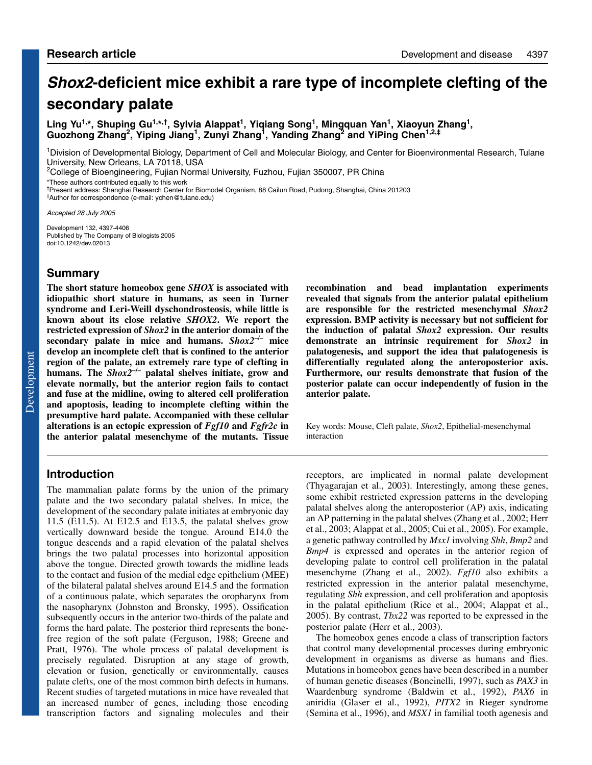# **Shox2-deficient mice exhibit a rare type of incomplete clefting of the secondary palate**

Ling Yu<sup>1,\*</sup>, Shuping Gu<sup>1,\*,†</sup>, Sylvia Alappat<sup>1</sup>, Yiqiang Song<sup>1</sup>, Mingquan Yan<sup>1</sup>, Xiaoyun Zhang<sup>1</sup>, **Guozhong Zhang2, Yiping Jiang1, Zunyi Zhang1, Yanding Zhang2 and YiPing Chen1,2,‡**

1Division of Developmental Biology, Department of Cell and Molecular Biology, and Center for Bioenvironmental Research, Tulane University, New Orleans, LA 70118, USA

<sup>2</sup>College of Bioengineering, Fujian Normal University, Fuzhou, Fujian 350007, PR China

\*These authors contributed equally to this work

†Present address: Shanghai Research Center for Biomodel Organism, 88 Cailun Road, Pudong, Shanghai, China 201203 ‡Author for correspondence (e-mail: ychen@tulane.edu)

Accepted 28 July 2005

Development 132, 4397-4406 Published by The Company of Biologists 2005 doi:10.1242/dev.02013

# **Summary**

**The short stature homeobox gene** *SHOX* **is associated with idiopathic short stature in humans, as seen in Turner syndrome and Leri-Weill dyschondrosteosis, while little is known about its close relative** *SHOX2***. We report the restricted expression of** *Shox2* **in the anterior domain of the secondary palate in mice and humans.** *Shox2***–/– mice develop an incomplete cleft that is confined to the anterior region of the palate, an extremely rare type of clefting in humans. The** *Shox2***–/– palatal shelves initiate, grow and elevate normally, but the anterior region fails to contact and fuse at the midline, owing to altered cell proliferation and apoptosis, leading to incomplete clefting within the presumptive hard palate. Accompanied with these cellular alterations is an ectopic expression of** *Fgf10* **and** *Fgfr2c* **in the anterior palatal mesenchyme of the mutants. Tissue**

# **Introduction**

The mammalian palate forms by the union of the primary palate and the two secondary palatal shelves. In mice, the development of the secondary palate initiates at embryonic day 11.5 (E11.5). At E12.5 and E13.5, the palatal shelves grow vertically downward beside the tongue. Around E14.0 the tongue descends and a rapid elevation of the palatal shelves brings the two palatal processes into horizontal apposition above the tongue. Directed growth towards the midline leads to the contact and fusion of the medial edge epithelium (MEE) of the bilateral palatal shelves around E14.5 and the formation of a continuous palate, which separates the oropharynx from the nasopharynx (Johnston and Bronsky, 1995). Ossification subsequently occurs in the anterior two-thirds of the palate and forms the hard palate. The posterior third represents the bonefree region of the soft palate (Ferguson, 1988; Greene and Pratt, 1976). The whole process of palatal development is precisely regulated. Disruption at any stage of growth, elevation or fusion, genetically or environmentally, causes palate clefts, one of the most common birth defects in humans. Recent studies of targeted mutations in mice have revealed that an increased number of genes, including those encoding transcription factors and signaling molecules and their

**recombination and bead implantation experiments revealed that signals from the anterior palatal epithelium are responsible for the restricted mesenchymal** *Shox2* **expression. BMP activity is necessary but not sufficient for the induction of palatal** *Shox2* **expression. Our results demonstrate an intrinsic requirement for** *Shox2* **in palatogenesis, and support the idea that palatogenesis is differentially regulated along the anteroposterior axis. Furthermore, our results demonstrate that fusion of the posterior palate can occur independently of fusion in the anterior palate.**

Key words: Mouse, Cleft palate, *Shox2*, Epithelial-mesenchymal interaction

receptors, are implicated in normal palate development (Thyagarajan et al., 2003). Interestingly, among these genes, some exhibit restricted expression patterns in the developing palatal shelves along the anteroposterior (AP) axis, indicating an AP patterning in the palatal shelves (Zhang et al., 2002; Herr et al., 2003; Alappat et al., 2005; Cui et al., 2005). For example, a genetic pathway controlled by *Msx1* involving *Shh*, *Bmp2* and *Bmp4* is expressed and operates in the anterior region of developing palate to control cell proliferation in the palatal mesenchyme (Zhang et al., 2002). *Fgf10* also exhibits a restricted expression in the anterior palatal mesenchyme, regulating *Shh* expression, and cell proliferation and apoptosis in the palatal epithelium (Rice et al., 2004; Alappat et al., 2005). By contrast, *Tbx22* was reported to be expressed in the posterior palate (Herr et al., 2003).

The homeobox genes encode a class of transcription factors that control many developmental processes during embryonic development in organisms as diverse as humans and flies. Mutations in homeobox genes have been described in a number of human genetic diseases (Boncinelli, 1997), such as *PAX3* in Waardenburg syndrome (Baldwin et al., 1992), *PAX6* in aniridia (Glaser et al., 1992), *PITX2* in Rieger syndrome (Semina et al., 1996), and *MSX1* in familial tooth agenesis and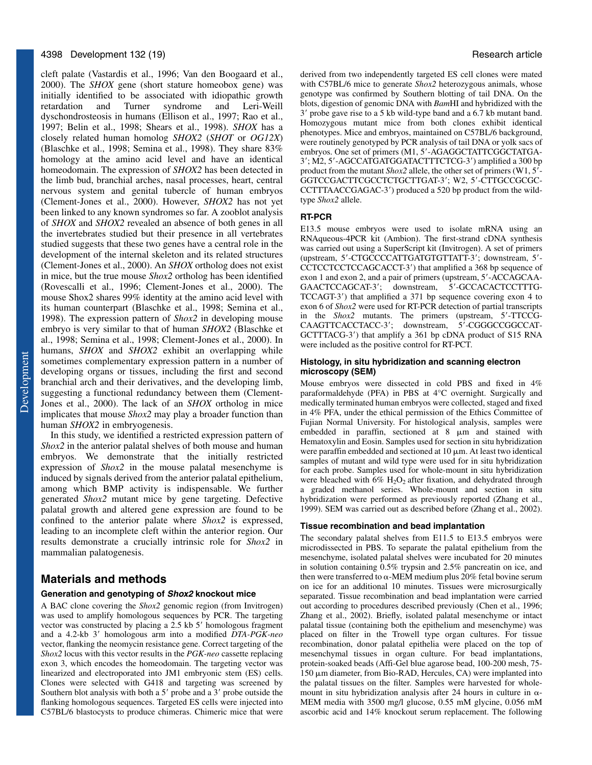#### 4398 Development 132 (19) Research article

cleft palate (Vastardis et al., 1996; Van den Boogaard et al., 2000). The *SHOX* gene (short stature homeobox gene) was initially identified to be associated with idiopathic growth retardation and Turner syndrome and Leri-Weill dyschondrosteosis in humans (Ellison et al., 1997; Rao et al., 1997; Belin et al., 1998; Shears et al., 1998). *SHOX* has a closely related human homolog *SHOX2* (*SHOT* or *OG12X*) (Blaschke et al., 1998; Semina et al., 1998). They share 83% homology at the amino acid level and have an identical homeodomain. The expression of *SHOX2* has been detected in the limb bud, branchial arches, nasal processes, heart, central nervous system and genital tubercle of human embryos (Clement-Jones et al., 2000). However, *SHOX2* has not yet been linked to any known syndromes so far. A zooblot analysis of *SHOX* and *SHOX2* revealed an absence of both genes in all the invertebrates studied but their presence in all vertebrates studied suggests that these two genes have a central role in the development of the internal skeleton and its related structures (Clement-Jones et al., 2000). An *SHOX* ortholog does not exist in mice, but the true mouse *Shox2* ortholog has been identified (Rovescalli et al., 1996; Clement-Jones et al., 2000). The mouse Shox2 shares 99% identity at the amino acid level with its human counterpart (Blaschke et al., 1998; Semina et al., 1998). The expression pattern of *Shox2* in developing mouse embryo is very similar to that of human *SHOX2* (Blaschke et al., 1998; Semina et al., 1998; Clement-Jones et al., 2000). In humans, *SHOX* and *SHOX2* exhibit an overlapping while sometimes complementary expression pattern in a number of developing organs or tissues, including the first and second branchial arch and their derivatives, and the developing limb, suggesting a functional redundancy between them (Clement-Jones et al., 2000). The lack of an *SHOX* ortholog in mice implicates that mouse *Shox2* may play a broader function than human *SHOX2* in embryogenesis.

In this study, we identified a restricted expression pattern of *Shox2* in the anterior palatal shelves of both mouse and human embryos. We demonstrate that the initially restricted expression of *Shox2* in the mouse palatal mesenchyme is induced by signals derived from the anterior palatal epithelium, among which BMP activity is indispensable. We further generated *Shox2* mutant mice by gene targeting. Defective palatal growth and altered gene expression are found to be confined to the anterior palate where *Shox2* is expressed, leading to an incomplete cleft within the anterior region. Our results demonstrate a crucially intrinsic role for *Shox2* in mammalian palatogenesis.

# **Materials and methods**

#### **Generation and genotyping of Shox2 knockout mice**

A BAC clone covering the *Shox2* genomic region (from Invitrogen) was used to amplify homologous sequences by PCR. The targeting vector was constructed by placing a 2.5 kb 5' homologous fragment and a 4.2-kb 3' homologous arm into a modified DTA-PGK-neo vector, flanking the neomycin resistance gene. Correct targeting of the *Shox2* locus with this vector results in the *PGK-neo* cassette replacing exon 3, which encodes the homeodomain. The targeting vector was linearized and electroporated into JM1 embryonic stem (ES) cells. Clones were selected with G418 and targeting was screened by Southern blot analysis with both a 5' probe and a 3' probe outside the flanking homologous sequences. Targeted ES cells were injected into C57BL/6 blastocysts to produce chimeras. Chimeric mice that were

derived from two independently targeted ES cell clones were mated with C57BL/6 mice to generate *Shox2* heterozygous animals, whose genotype was confirmed by Southern blotting of tail DNA. On the blots, digestion of genomic DNA with *Bam*HI and hybridized with the 3- probe gave rise to a 5 kb wild-type band and a 6.7 kb mutant band. Homozygous mutant mice from both clones exhibit identical phenotypes. Mice and embryos, maintained on C57BL/6 background, were routinely genotyped by PCR analysis of tail DNA or yolk sacs of embryos. One set of primers (M1, 5'-AGAGGCTATTCGGCTATGA-3'; M2, 5'-AGCCATGATGGATACTTTCTCG-3') amplified a 300 bp product from the mutant *Shox2* allele, the other set of primers (W1, 5'-GGTCCGACTTCGCCTCTGCTTGAT-3'; W2, 5'-CTTGCCGCGC-CCTTTAACCGAGAC-3') produced a 520 bp product from the wildtype *Shox2* allele.

#### **RT-PCR**

E13.5 mouse embryos were used to isolate mRNA using an RNAqueous-4PCR kit (Ambion). The first-strand cDNA synthesis was carried out using a SuperScript kit (Invitrogen). A set of primers (upstream, 5'-CTGCCCCATTGATGTGTTATT-3'; downstream, 5'-CCTCCTCCTCCAGCACCT-3') that amplified a 368 bp sequence of exon 1 and exon 2, and a pair of primers (upstream, 5'-ACCAGCAA-GAACTCCAGCAT-3'; downstream, 5'-GCCACACTCCTTTG-TCCAGT-3') that amplified a 371 bp sequence covering exon 4 to exon 6 of *Shox2* were used for RT-PCR detection of partial transcripts in the *Shox2* mutants. The primers (upstream, 5'-TTCCG-CAAGTTCACCTACC-3'; downstream, 5'-CGGGCCGGCCAT-GCTTTACG-3') that amplify a 361 bp cDNA product of S15 RNA were included as the positive control for RT-PCT.

#### **Histology, in situ hybridization and scanning electron microscopy (SEM)**

Mouse embryos were dissected in cold PBS and fixed in 4% paraformaldehyde (PFA) in PBS at 4°C overnight. Surgically and medically terminated human embryos were collected, staged and fixed in 4% PFA, under the ethical permission of the Ethics Committee of Fujian Normal University. For histological analysis, samples were embedded in paraffin, sectioned at  $8 \mu m$  and stained with Hematoxylin and Eosin. Samples used for section in situ hybridization were paraffin embedded and sectioned at  $10 \mu m$ . At least two identical samples of mutant and wild type were used for in situ hybridization for each probe. Samples used for whole-mount in situ hybridization were bleached with  $6\%$  H<sub>2</sub>O<sub>2</sub> after fixation, and dehydrated through a graded methanol series. Whole-mount and section in situ hybridization were performed as previously reported (Zhang et al., 1999). SEM was carried out as described before (Zhang et al., 2002).

#### **Tissue recombination and bead implantation**

The secondary palatal shelves from E11.5 to E13.5 embryos were microdissected in PBS. To separate the palatal epithelium from the mesenchyme, isolated palatal shelves were incubated for 20 minutes in solution containing 0.5% trypsin and 2.5% pancreatin on ice, and then were transferred to  $\alpha$ -MEM medium plus 20% fetal bovine serum on ice for an additional 10 minutes. Tissues were microsurgically separated. Tissue recombination and bead implantation were carried out according to procedures described previously (Chen et al., 1996; Zhang et al., 2002). Briefly, isolated palatal mesenchyme or intact palatal tissue (containing both the epithelium and mesenchyme) was placed on filter in the Trowell type organ cultures. For tissue recombination, donor palatal epithelia were placed on the top of mesenchymal tissues in organ culture. For bead implantations, protein-soaked beads (Affi-Gel blue agarose bead, 100-200 mesh, 75-  $150 \mu m$  diameter, from Bio-RAD, Hercules, CA) were implanted into the palatal tissues on the filter. Samples were harvested for wholemount in situ hybridization analysis after 24 hours in culture in  $\alpha$ -MEM media with 3500 mg/l glucose, 0.55 mM glycine, 0.056 mM ascorbic acid and 14% knockout serum replacement. The following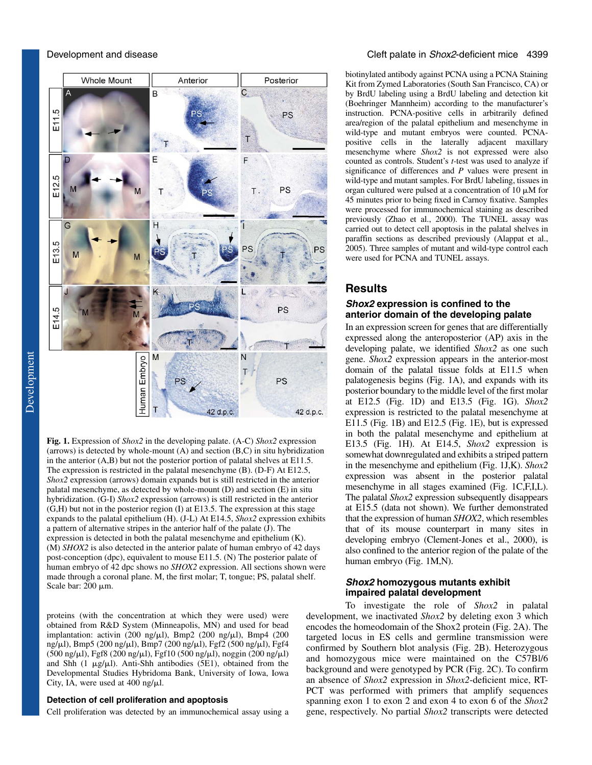

**Fig. 1.** Expression of *Shox2* in the developing palate. (A-C) *Shox2* expression (arrows) is detected by whole-mount (A) and section (B,C) in situ hybridization in the anterior (A,B) but not the posterior portion of palatal shelves at E11.5. The expression is restricted in the palatal mesenchyme (B). (D-F) At E12.5, *Shox2* expression (arrows) domain expands but is still restricted in the anterior palatal mesenchyme, as detected by whole-mount (D) and section (E) in situ hybridization. (G-I) *Shox2* expression (arrows) is still restricted in the anterior (G,H) but not in the posterior region (I) at E13.5. The expression at this stage expands to the palatal epithelium (H). (J-L) At E14.5, *Shox2* expression exhibits a pattern of alternative stripes in the anterior half of the palate (J). The expression is detected in both the palatal mesenchyme and epithelium (K). (M) *SHOX2* is also detected in the anterior palate of human embryo of 42 days post-conception (dpc), equivalent to mouse E11.5. (N) The posterior palate of human embryo of 42 dpc shows no *SHOX2* expression. All sections shown were made through a coronal plane. M, the first molar; T, tongue; PS, palatal shelf. Scale bar:  $200 \mu m$ .

proteins (with the concentration at which they were used) were obtained from R&D System (Minneapolis, MN) and used for bead implantation: activin  $(200 \text{ ng/µl})$ , Bmp2  $(200 \text{ ng/µl})$ , Bmp4  $(200 \text{ m})$ ng/ $\mu$ l), Bmp5 (200 ng/ $\mu$ l), Bmp7 (200 ng/ $\mu$ l), Fgf2 (500 ng/ $\mu$ l), Fgf4  $(500 \text{ ng/µl})$ , Fgf8 (200 ng/ $\mu$ l), Fgf10 (500 ng/ $\mu$ l), noggin (200 ng/ $\mu$ l) and Shh (1  $\mu$ g/ $\mu$ l). Anti-Shh antibodies (5E1), obtained from the Developmental Studies Hybridoma Bank, University of Iowa, Iowa City, IA, were used at  $400$  ng/ $\mu$ l.

### **Detection of cell proliferation and apoptosis**

Cell proliferation was detected by an immunochemical assay using a

#### Development and disease Cleft palate in Shox2-deficient mice 4399

biotinylated antibody against PCNA using a PCNA Staining Kit from Zymed Laboratories (South San Francisco, CA) or by BrdU labeling using a BrdU labeling and detection kit (Boehringer Mannheim) according to the manufacturer's instruction. PCNA-positive cells in arbitrarily defined area/region of the palatal epithelium and mesenchyme in wild-type and mutant embryos were counted. PCNApositive cells in the laterally adjacent maxillary mesenchyme where *Shox2* is not expressed were also counted as controls. Student's *t-*test was used to analyze if significance of differences and *P* values were present in wild-type and mutant samples. For BrdU labeling, tissues in organ cultured were pulsed at a concentration of 10  $\mu$ M for 45 minutes prior to being fixed in Carnoy fixative. Samples were processed for immunochemical staining as described previously (Zhao et al., 2000). The TUNEL assay was carried out to detect cell apoptosis in the palatal shelves in paraffin sections as described previously (Alappat et al., 2005). Three samples of mutant and wild-type control each were used for PCNA and TUNEL assays.

# **Results**

### **Shox2 expression is confined to the anterior domain of the developing palate**

In an expression screen for genes that are differentially expressed along the anteroposterior (AP) axis in the developing palate, we identified *Shox2* as one such gene. *Shox2* expression appears in the anterior-most domain of the palatal tissue folds at E11.5 when palatogenesis begins (Fig. 1A), and expands with its posterior boundary to the middle level of the first molar at E12.5 (Fig. 1D) and E13.5 (Fig. 1G). *Shox2* expression is restricted to the palatal mesenchyme at E11.5 (Fig. 1B) and E12.5 (Fig. 1E), but is expressed in both the palatal mesenchyme and epithelium at E13.5 (Fig. 1H). At E14.5, *Shox2* expression is somewhat downregulated and exhibits a striped pattern in the mesenchyme and epithelium (Fig. 1J,K). *Shox2* expression was absent in the posterior palatal mesenchyme in all stages examined (Fig. 1C,F,I,L). The palatal *Shox2* expression subsequently disappears at E15.5 (data not shown). We further demonstrated that the expression of human *SHOX2*, which resembles that of its mouse counterpart in many sites in developing embryo (Clement-Jones et al., 2000), is also confined to the anterior region of the palate of the human embryo (Fig. 1M,N).

### **Shox2 homozygous mutants exhibit impaired palatal development**

To investigate the role of *Shox2* in palatal development, we inactivated *Shox2* by deleting exon 3 which encodes the homeodomain of the Shox2 protein (Fig. 2A). The targeted locus in ES cells and germline transmission were confirmed by Southern blot analysis (Fig. 2B). Heterozygous and homozygous mice were maintained on the C57Bl/6 background and were genotyped by PCR (Fig. 2C). To confirm an absence of *Shox2* expression in *Shox2*-deficient mice, RT-PCT was performed with primers that amplify sequences spanning exon 1 to exon 2 and exon 4 to exon 6 of the *Shox2* gene, respectively. No partial *Shox2* transcripts were detected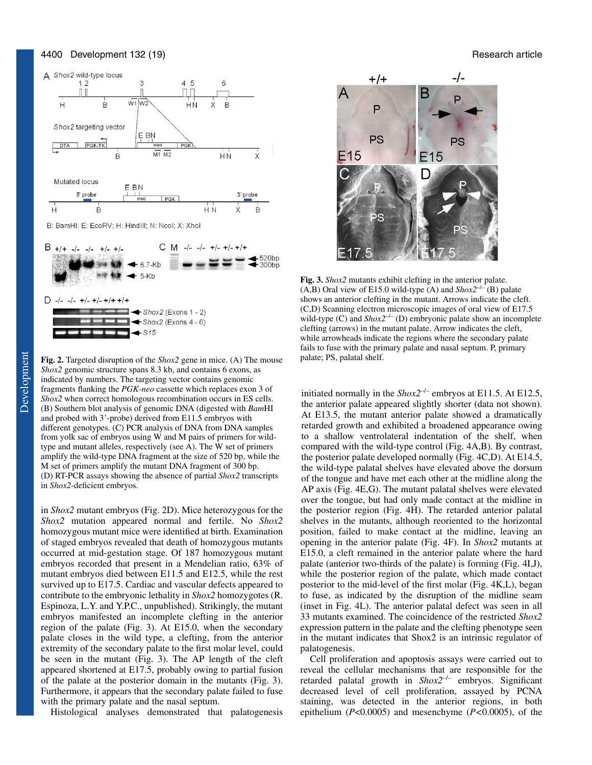#### 4400 Development 132 (19) Research article





**Fig. 2.** Targeted disruption of the *Shox2* gene in mice. (A) The mouse *Shox2* genomic structure spans 8.3 kb, and contains 6 exons, as indicated by numbers. The targeting vector contains genomic fragments flanking the *PGK-neo* cassette which replaces exon 3 of *Shox2* when correct homologous recombination occurs in ES cells. (B) Southern blot analysis of genomic DNA (digested with *Bam*HI and probed with 3'-probe) derived from E11.5 embryos with different genotypes. (C) PCR analysis of DNA from DNA samples from yolk sac of embryos using W and M pairs of primers for wildtype and mutant alleles, respectively (see A). The W set of primers amplify the wild-type DNA fragment at the size of 520 bp, while the M set of primers amplify the mutant DNA fragment of 300 bp. (D) RT-PCR assays showing the absence of partial *Shox2* transcripts in *Shox2*-deficient embryos.

in *Shox2* mutant embryos (Fig. 2D). Mice heterozygous for the *Shox2* mutation appeared normal and fertile. No *Shox2* homozygous mutant mice were identified at birth. Examination of staged embryos revealed that death of homozygous mutants occurred at mid-gestation stage. Of 187 homozygous mutant embryos recorded that present in a Mendelian ratio, 63% of mutant embryos died between E11.5 and E12.5, while the rest survived up to E17.5. Cardiac and vascular defects appeared to contribute to the embryonic lethality in *Shox2* homozygotes (R. Espinoza, L.Y. and Y.P.C., unpublished). Strikingly, the mutant embryos manifested an incomplete clefting in the anterior region of the palate (Fig. 3). At E15.0, when the secondary palate closes in the wild type, a clefting, from the anterior extremity of the secondary palate to the first molar level, could be seen in the mutant (Fig. 3). The AP length of the cleft appeared shortened at E17.5, probably owing to partial fusion of the palate at the posterior domain in the mutants (Fig. 3). Furthermore, it appears that the secondary palate failed to fuse with the primary palate and the nasal septum.

Histological analyses demonstrated that palatogenesis



**Fig. 3.** *Shox2* mutants exhibit clefting in the anterior palate. (A,B) Oral view of E15.0 wild-type (A) and  $Shox2^{-/-}$  (B) palate shows an anterior clefting in the mutant. Arrows indicate the cleft. (C,D) Scanning electron microscopic images of oral view of E17.5 wild-type (C) and  $\text{Shox2}^{-/-}$  (D) embryonic palate show an incomplete clefting (arrows) in the mutant palate. Arrow indicates the cleft, while arrowheads indicate the regions where the secondary palate fails to fuse with the primary palate and nasal septum. P, primary palate; PS, palatal shelf.

initiated normally in the  $Shox2^{-/-}$  embryos at E11.5. At E12.5, the anterior palate appeared slightly shorter (data not shown). At E13.5, the mutant anterior palate showed a dramatically retarded growth and exhibited a broadened appearance owing to a shallow ventrolateral indentation of the shelf, when compared with the wild-type control (Fig. 4A,B). By contrast, the posterior palate developed normally (Fig. 4C,D). At E14.5, the wild-type palatal shelves have elevated above the dorsum of the tongue and have met each other at the midline along the AP axis (Fig. 4E,G). The mutant palatal shelves were elevated over the tongue, but had only made contact at the midline in the posterior region (Fig. 4H). The retarded anterior palatal shelves in the mutants, although reoriented to the horizontal position, failed to make contact at the midline, leaving an opening in the anterior palate (Fig. 4F). In *Shox2* mutants at E15.0, a cleft remained in the anterior palate where the hard palate (anterior two-thirds of the palate) is forming (Fig. 4I,J), while the posterior region of the palate, which made contact posterior to the mid-level of the first molar (Fig. 4K,L), began to fuse, as indicated by the disruption of the midline seam (inset in Fig. 4L). The anterior palatal defect was seen in all 33 mutants examined. The coincidence of the restricted *Shox2* expression pattern in the palate and the clefting phenotype seen in the mutant indicates that Shox2 is an intrinsic regulator of palatogenesis.

Cell proliferation and apoptosis assays were carried out to reveal the cellular mechanisms that are responsible for the retarded palatal growth in *Shox2<sup>-/-</sup>* embryos. Significant decreased level of cell proliferation, assayed by PCNA staining, was detected in the anterior regions, in both epithelium (*P*<0.0005) and mesenchyme (*P<*0.0005), of the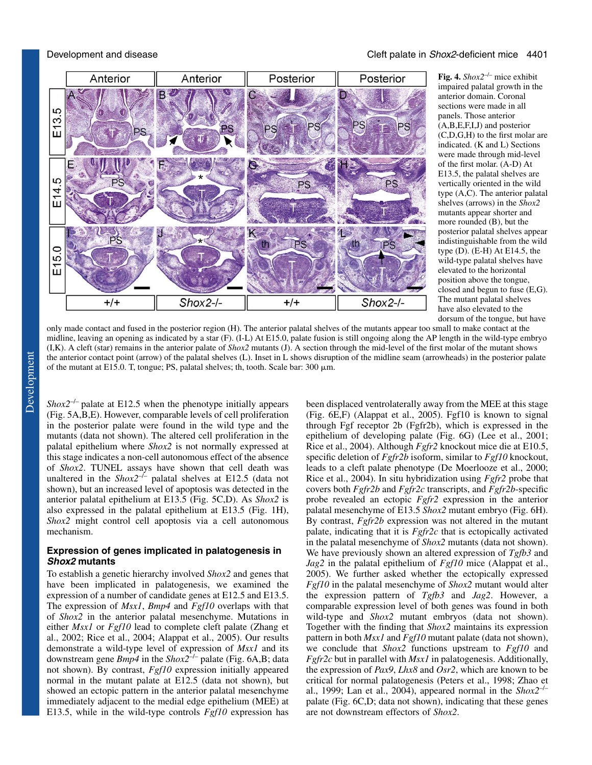

**Fig. 4.** *Shox2*–/– mice exhibit impaired palatal growth in the anterior domain. Coronal sections were made in all panels. Those anterior (A,B,E,F,I,J) and posterior (C,D,G,H) to the first molar are indicated. (K and L) Sections were made through mid-level of the first molar. (A-D) At E13.5, the palatal shelves are vertically oriented in the wild type (A,C). The anterior palatal shelves (arrows) in the *Shox2* mutants appear shorter and more rounded (B), but the posterior palatal shelves appear indistinguishable from the wild type (D). (E-H) At E14.5, the wild-type palatal shelves have elevated to the horizontal position above the tongue, closed and begun to fuse (E,G). The mutant palatal shelves have also elevated to the dorsum of the tongue, but have

only made contact and fused in the posterior region (H). The anterior palatal shelves of the mutants appear too small to make contact at the midline, leaving an opening as indicated by a star (F). (I-L) At E15.0, palate fusion is still ongoing along the AP length in the wild-type embryo (I,K). A cleft (star) remains in the anterior palate of *Shox2* mutants (J). A section through the mid-level of the first molar of the mutant shows the anterior contact point (arrow) of the palatal shelves (L). Inset in L shows disruption of the midline seam (arrowheads) in the posterior palate of the mutant at E15.0. T, tongue; PS, palatal shelves; th, tooth. Scale bar:  $300 \mu m$ .

*Shox2<sup>-/-</sup>* palate at E12.5 when the phenotype initially appears (Fig. 5A,B,E). However, comparable levels of cell proliferation in the posterior palate were found in the wild type and the mutants (data not shown). The altered cell proliferation in the palatal epithelium where *Shox2* is not normally expressed at this stage indicates a non-cell autonomous effect of the absence of *Shox2*. TUNEL assays have shown that cell death was unaltered in the  $Shox2^{-/-}$  palatal shelves at E12.5 (data not shown), but an increased level of apoptosis was detected in the anterior palatal epithelium at E13.5 (Fig. 5C,D). As *Shox2* is also expressed in the palatal epithelium at E13.5 (Fig. 1H), *Shox2* might control cell apoptosis via a cell autonomous mechanism.

### **Expression of genes implicated in palatogenesis in Shox2 mutants**

To establish a genetic hierarchy involved *Shox2* and genes that have been implicated in palatogenesis, we examined the expression of a number of candidate genes at E12.5 and E13.5. The expression of *Msx1*, *Bmp4* and *Fgf10* overlaps with that of *Shox2* in the anterior palatal mesenchyme. Mutations in either *Msx1* or *Fgf10* lead to complete cleft palate (Zhang et al., 2002; Rice et al., 2004; Alappat et al., 2005). Our results demonstrate a wild-type level of expression of *Msx1* and its downstream gene *Bmp4* in the *Shox2*–/– palate (Fig. 6A,B; data not shown). By contrast, *Fgf10* expression initially appeared normal in the mutant palate at E12.5 (data not shown), but showed an ectopic pattern in the anterior palatal mesenchyme immediately adjacent to the medial edge epithelium (MEE) at E13.5, while in the wild-type controls *Fgf10* expression has been displaced ventrolaterally away from the MEE at this stage (Fig. 6E,F) (Alappat et al., 2005). Fgf10 is known to signal through Fgf receptor 2b (Fgfr2b), which is expressed in the epithelium of developing palate (Fig. 6G) (Lee et al., 2001; Rice et al., 2004). Although *Fgfr2* knockout mice die at E10.5, specific deletion of *Fgfr2b* isoform, similar to *Fgf10* knockout, leads to a cleft palate phenotype (De Moerlooze et al., 2000; Rice et al., 2004). In situ hybridization using *Fgfr2* probe that covers both *Fgfr2b* and *Fgfr2c* transcripts, and *Fgfr2b*-specific probe revealed an ectopic *Fgfr2* expression in the anterior palatal mesenchyme of E13.5 *Shox2* mutant embryo (Fig. 6H). By contrast, *Fgfr2b* expression was not altered in the mutant palate, indicating that it is *Fgfr2c* that is ectopically activated in the palatal mesenchyme of *Shox2* mutants (data not shown). We have previously shown an altered expression of *Tgfb3* and *Jag2* in the palatal epithelium of *Fgf10* mice (Alappat et al., 2005). We further asked whether the ectopically expressed *Fgf10* in the palatal mesenchyme of *Shox2* mutant would alter the expression pattern of *Tgfb3* and *Jag2*. However, a comparable expression level of both genes was found in both wild-type and *Shox2* mutant embryos (data not shown). Together with the finding that *Shox2* maintains its expression pattern in both *Msx1* and *Fgf10* mutant palate (data not shown), we conclude that *Shox2* functions upstream to *Fgf10* and *Fgfr2c* but in parallel with *Msx1* in palatogenesis. Additionally, the expression of *Pax9*, *Lhx8* and *Osr2*, which are known to be critical for normal palatogenesis (Peters et al., 1998; Zhao et al., 1999; Lan et al., 2004), appeared normal in the  $Shox2^{-/-}$ palate (Fig. 6C,D; data not shown), indicating that these genes are not downstream effectors of *Shox2*.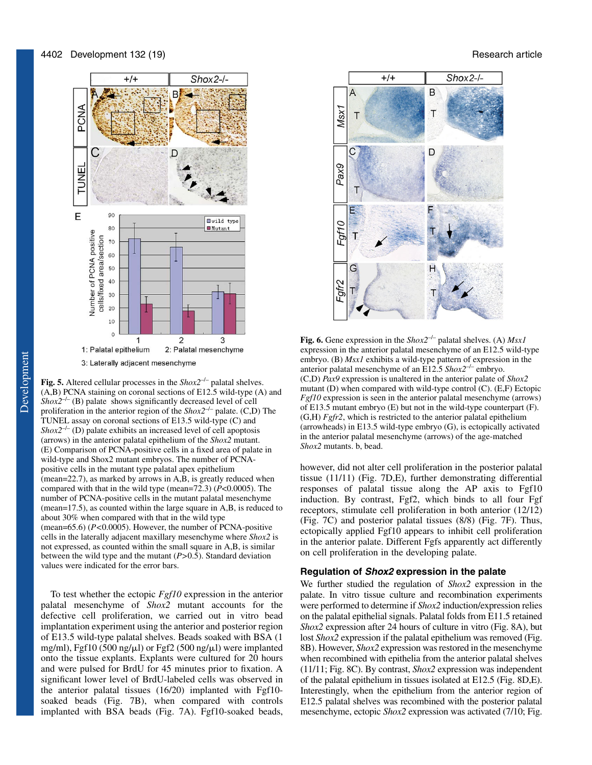

**Fig. 5.** Altered cellular processes in the *Shox2*–/– palatal shelves. (A,B) PCNA staining on coronal sections of E12.5 wild-type (A) and  *(B) palate shows significantly decreased level of cell* proliferation in the anterior region of the  $\textit{Shox2}^{-/-}$  palate. (C,D) The TUNEL assay on coronal sections of E13.5 wild-type (C) and  *(D) palate exhibits an increased level of cell apoptosis* (arrows) in the anterior palatal epithelium of the *Shox2* mutant. (E) Comparison of PCNA-positive cells in a fixed area of palate in wild-type and Shox2 mutant embryos. The number of PCNApositive cells in the mutant type palatal apex epithelium (mean=22.7), as marked by arrows in A,B, is greatly reduced when compared with that in the wild type (mean=72.3) (*P*<0.0005). The number of PCNA-positive cells in the mutant palatal mesenchyme (mean=17.5), as counted within the large square in A,B, is reduced to about 30% when compared with that in the wild type (mean=65.6) (*P<*0.0005). However, the number of PCNA-positive cells in the laterally adjacent maxillary mesenchyme where *Shox2* is not expressed, as counted within the small square in A,B, is similar between the wild type and the mutant (*P>*0.5). Standard deviation values were indicated for the error bars.

To test whether the ectopic *Fgf10* expression in the anterior palatal mesenchyme of *Shox2* mutant accounts for the defective cell proliferation, we carried out in vitro bead implantation experiment using the anterior and posterior region of E13.5 wild-type palatal shelves. Beads soaked with BSA (1 mg/ml), Fgf10 (500 ng/ $\mu$ l) or Fgf2 (500 ng/ $\mu$ l) were implanted onto the tissue explants. Explants were cultured for 20 hours and were pulsed for BrdU for 45 minutes prior to fixation. A significant lower level of BrdU-labeled cells was observed in the anterior palatal tissues (16/20) implanted with Fgf10 soaked beads (Fig. 7B), when compared with controls implanted with BSA beads (Fig. 7A). Fgf10-soaked beads,



**Fig. 6.** Gene expression in the *Shox2*–/– palatal shelves. (A) *Msx1* expression in the anterior palatal mesenchyme of an E12.5 wild-type embryo. (B) *Msx1* exhibits a wild-type pattern of expression in the anterior palatal mesenchyme of an E12.5 *Shox2*–/– embryo. (C,D) *Pax9* expression is unaltered in the anterior palate of *Shox2* mutant (D) when compared with wild-type control (C). (E,F) Ectopic *Fgf10* expression is seen in the anterior palatal mesenchyme (arrows) of E13.5 mutant embryo (E) but not in the wild-type counterpart (F). (G,H) *Fgfr2*, which is restricted to the anterior palatal epithelium (arrowheads) in E13.5 wild-type embryo (G), is ectopically activated in the anterior palatal mesenchyme (arrows) of the age-matched *Shox2* mutants. b, bead.

however, did not alter cell proliferation in the posterior palatal tissue (11/11) (Fig. 7D,E), further demonstrating differential responses of palatal tissue along the AP axis to Fgf10 induction. By contrast, Fgf2, which binds to all four Fgf receptors, stimulate cell proliferation in both anterior (12/12) (Fig. 7C) and posterior palatal tissues (8/8) (Fig. 7F). Thus, ectopically applied Fgf10 appears to inhibit cell proliferation in the anterior palate. Different Fgfs apparently act differently on cell proliferation in the developing palate.

#### **Regulation of Shox2 expression in the palate**

We further studied the regulation of *Shox2* expression in the palate. In vitro tissue culture and recombination experiments were performed to determine if *Shox2* induction/expression relies on the palatal epithelial signals. Palatal folds from E11.5 retained *Shox2* expression after 24 hours of culture in vitro (Fig. 8A), but lost *Shox2* expression if the palatal epithelium was removed (Fig. 8B). However, *Shox2* expression was restored in the mesenchyme when recombined with epithelia from the anterior palatal shelves (11/11; Fig. 8C). By contrast, *Shox2* expression was independent of the palatal epithelium in tissues isolated at E12.5 (Fig. 8D,E). Interestingly, when the epithelium from the anterior region of E12.5 palatal shelves was recombined with the posterior palatal mesenchyme, ectopic *Shox2* expression was activated (7/10; Fig.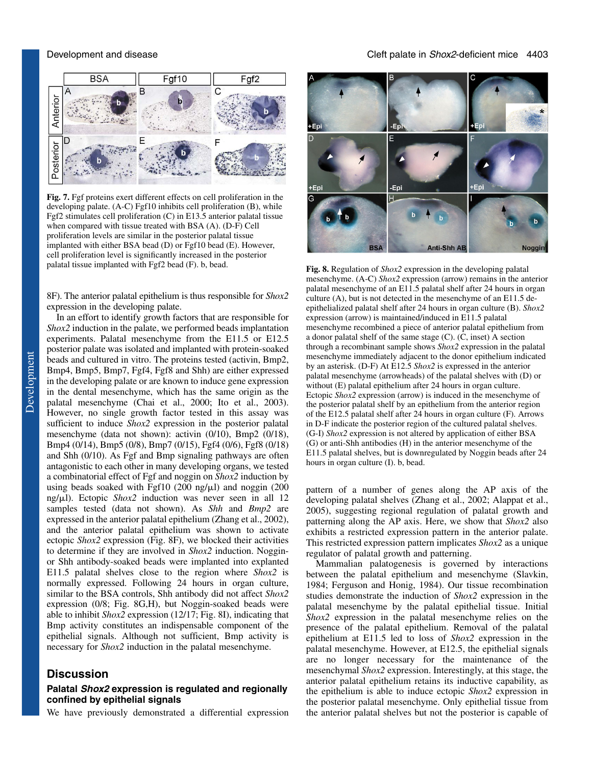

**Fig. 7.** Fgf proteins exert different effects on cell proliferation in the developing palate. (A-C) Fgf10 inhibits cell proliferation (B), while Fgf2 stimulates cell proliferation (C) in E13.5 anterior palatal tissue when compared with tissue treated with BSA (A). (D-F) Cell proliferation levels are similar in the posterior palatal tissue implanted with either BSA bead (D) or Fgf10 bead (E). However, cell proliferation level is significantly increased in the posterior

8F). The anterior palatal epithelium is thus responsible for *Shox2* expression in the developing palate.

In an effort to identify growth factors that are responsible for *Shox2* induction in the palate, we performed beads implantation experiments. Palatal mesenchyme from the E11.5 or E12.5 posterior palate was isolated and implanted with protein-soaked beads and cultured in vitro. The proteins tested (activin, Bmp2, Bmp4, Bmp5, Bmp7, Fgf4, Fgf8 and Shh) are either expressed in the developing palate or are known to induce gene expression in the dental mesenchyme, which has the same origin as the palatal mesenchyme (Chai et al., 2000; Ito et al., 2003). However, no single growth factor tested in this assay was sufficient to induce *Shox2* expression in the posterior palatal mesenchyme (data not shown): activin (0/10), Bmp2 (0/18), Bmp4 (0/14), Bmp5 (0/8), Bmp7 (0/15), Fgf4 (0/6), Fgf8 (0/18) and Shh (0/10). As Fgf and Bmp signaling pathways are often antagonistic to each other in many developing organs, we tested a combinatorial effect of Fgf and noggin on *Shox2* induction by using beads soaked with Fgf10 (200 ng/ $\mu$ l) and noggin (200 ng/µl). Ectopic *Shox2* induction was never seen in all 12 samples tested (data not shown). As *Shh* and *Bmp2* are expressed in the anterior palatal epithelium (Zhang et al., 2002), and the anterior palatal epithelium was shown to activate ectopic *Shox2* expression (Fig. 8F), we blocked their activities to determine if they are involved in *Shox2* induction. Nogginor Shh antibody-soaked beads were implanted into explanted E11.5 palatal shelves close to the region where *Shox2* is normally expressed. Following 24 hours in organ culture, similar to the BSA controls, Shh antibody did not affect *Shox2* expression (0/8; Fig. 8G,H), but Noggin-soaked beads were able to inhibit *Shox2* expression (12/17; Fig. 8I), indicating that Bmp activity constitutes an indispensable component of the epithelial signals. Although not sufficient, Bmp activity is necessary for *Shox2* induction in the palatal mesenchyme.

# **Discussion**

### **Palatal Shox2 expression is regulated and regionally confined by epithelial signals**

We have previously demonstrated a differential expression



palatal tissue implanted with Fgf2 bead (F). b, bead. **Fig. 8.** Regulation of *Shox2* expression in the developing palatal mesenchyme. (A-C) *Shox2* expression (arrow) remains in the anterior palatal mesenchyme of an E11.5 palatal shelf after 24 hours in organ culture (A), but is not detected in the mesenchyme of an E11.5 deepithelialized palatal shelf after 24 hours in organ culture (B). *Shox2* expression (arrow) is maintained/induced in E11.5 palatal mesenchyme recombined a piece of anterior palatal epithelium from a donor palatal shelf of the same stage (C). (C, inset) A section through a recombinant sample shows *Shox2* expression in the palatal mesenchyme immediately adjacent to the donor epithelium indicated by an asterisk. (D-F) At E12.5 *Shox2* is expressed in the anterior palatal mesenchyme (arrowheads) of the palatal shelves with (D) or without (E) palatal epithelium after 24 hours in organ culture. Ectopic *Shox2* expression (arrow) is induced in the mesenchyme of the posterior palatal shelf by an epithelium from the anterior region of the E12.5 palatal shelf after 24 hours in organ culture (F). Arrows in D-F indicate the posterior region of the cultured palatal shelves. (G-I) *Shox2* expression is not altered by application of either BSA (G) or anti-Shh antibodies (H) in the anterior mesenchyme of the E11.5 palatal shelves, but is downregulated by Noggin beads after 24 hours in organ culture (I). b, bead.

pattern of a number of genes along the AP axis of the developing palatal shelves (Zhang et al., 2002; Alappat et al., 2005), suggesting regional regulation of palatal growth and patterning along the AP axis. Here, we show that *Shox2* also exhibits a restricted expression pattern in the anterior palate. This restricted expression pattern implicates *Shox2* as a unique regulator of palatal growth and patterning.

Mammalian palatogenesis is governed by interactions between the palatal epithelium and mesenchyme (Slavkin, 1984; Ferguson and Honig, 1984). Our tissue recombination studies demonstrate the induction of *Shox2* expression in the palatal mesenchyme by the palatal epithelial tissue. Initial *Shox2* expression in the palatal mesenchyme relies on the presence of the palatal epithelium. Removal of the palatal epithelium at E11.5 led to loss of *Shox2* expression in the palatal mesenchyme. However, at E12.5, the epithelial signals are no longer necessary for the maintenance of the mesenchymal *Shox2* expression. Interestingly, at this stage, the anterior palatal epithelium retains its inductive capability, as the epithelium is able to induce ectopic *Shox2* expression in the posterior palatal mesenchyme. Only epithelial tissue from the anterior palatal shelves but not the posterior is capable of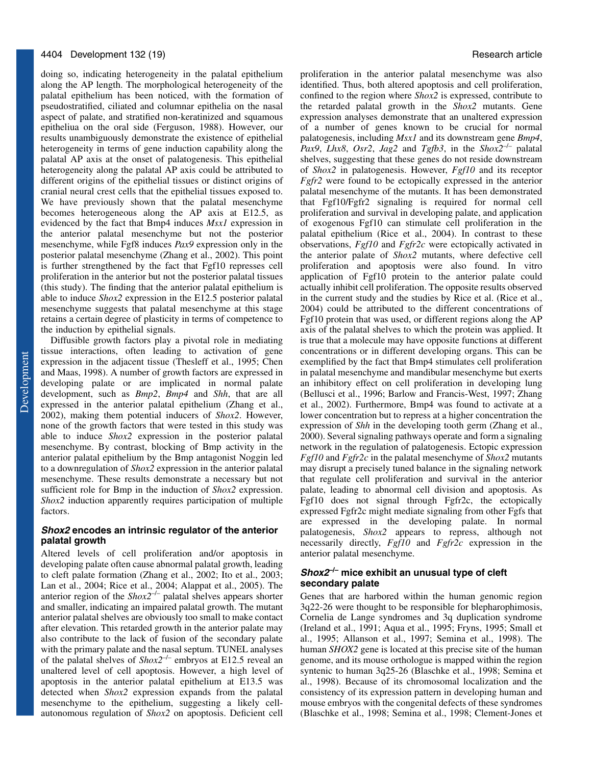doing so, indicating heterogeneity in the palatal epithelium along the AP length. The morphological heterogeneity of the palatal epithelium has been noticed, with the formation of pseudostratified, ciliated and columnar epithelia on the nasal aspect of palate, and stratified non-keratinized and squamous epitheliua on the oral side (Ferguson, 1988). However, our results unambiguously demonstrate the existence of epithelial heterogeneity in terms of gene induction capability along the palatal AP axis at the onset of palatogenesis. This epithelial heterogeneity along the palatal AP axis could be attributed to different origins of the epithelial tissues or distinct origins of cranial neural crest cells that the epithelial tissues exposed to. We have previously shown that the palatal mesenchyme becomes heterogeneous along the AP axis at E12.5, as evidenced by the fact that Bmp4 induces *Msx1* expression in the anterior palatal mesenchyme but not the posterior mesenchyme, while Fgf8 induces *Pax9* expression only in the posterior palatal mesenchyme (Zhang et al., 2002). This point is further strengthened by the fact that Fgf10 represses cell proliferation in the anterior but not the posterior palatal tissues (this study). The finding that the anterior palatal epithelium is able to induce *Shox2* expression in the E12.5 posterior palatal mesenchyme suggests that palatal mesenchyme at this stage retains a certain degree of plasticity in terms of competence to the induction by epithelial signals.

Diffusible growth factors play a pivotal role in mediating tissue interactions, often leading to activation of gene expression in the adjacent tissue (Thesleff et al., 1995; Chen and Maas, 1998). A number of growth factors are expressed in developing palate or are implicated in normal palate development, such as *Bmp2*, *Bmp4* and *Shh*, that are all expressed in the anterior palatal epithelium (Zhang et al., 2002), making them potential inducers of *Shox2*. However, none of the growth factors that were tested in this study was able to induce *Shox2* expression in the posterior palatal mesenchyme. By contrast, blocking of Bmp activity in the anterior palatal epithelium by the Bmp antagonist Noggin led to a downregulation of *Shox2* expression in the anterior palatal mesenchyme. These results demonstrate a necessary but not sufficient role for Bmp in the induction of *Shox2* expression. *Shox2* induction apparently requires participation of multiple factors.

#### **Shox2 encodes an intrinsic regulator of the anterior palatal growth**

Altered levels of cell proliferation and/or apoptosis in developing palate often cause abnormal palatal growth, leading to cleft palate formation (Zhang et al., 2002; Ito et al., 2003; Lan et al., 2004; Rice et al., 2004; Alappat et al., 2005). The anterior region of the *Shox2*–/– palatal shelves appears shorter and smaller, indicating an impaired palatal growth. The mutant anterior palatal shelves are obviously too small to make contact after elevation. This retarded growth in the anterior palate may also contribute to the lack of fusion of the secondary palate with the primary palate and the nasal septum. TUNEL analyses of the palatal shelves of *Shox2*–/– embryos at E12.5 reveal an unaltered level of cell apoptosis. However, a high level of apoptosis in the anterior palatal epithelium at E13.5 was detected when *Shox2* expression expands from the palatal mesenchyme to the epithelium, suggesting a likely cellautonomous regulation of *Shox2* on apoptosis. Deficient cell

proliferation in the anterior palatal mesenchyme was also identified. Thus, both altered apoptosis and cell proliferation, confined to the region where *Shox2* is expressed, contribute to the retarded palatal growth in the *Shox2* mutants. Gene expression analyses demonstrate that an unaltered expression of a number of genes known to be crucial for normal palatogenesis, including *Msx1* and its downstream gene *Bmp4*, *Pax9*, *Lhx8*, *Osr2*, *Jag2* and *Tgfb3*, in the *Shox2<sup>-/-</sup>* palatal shelves, suggesting that these genes do not reside downstream of *Shox2* in palatogenesis. However, *Fgf10* and its receptor *Fgfr2* were found to be ectopically expressed in the anterior palatal mesenchyme of the mutants. It has been demonstrated that Fgf10/Fgfr2 signaling is required for normal cell proliferation and survival in developing palate, and application of exogenous Fgf10 can stimulate cell proliferation in the palatal epithelium (Rice et al., 2004). In contrast to these observations, *Fgf10* and *Fgfr2c* were ectopically activated in the anterior palate of *Shox2* mutants, where defective cell proliferation and apoptosis were also found. In vitro application of Fgf10 protein to the anterior palate could actually inhibit cell proliferation. The opposite results observed in the current study and the studies by Rice et al. (Rice et al., 2004) could be attributed to the different concentrations of Fgf10 protein that was used, or different regions along the AP axis of the palatal shelves to which the protein was applied. It is true that a molecule may have opposite functions at different concentrations or in different developing organs. This can be exemplified by the fact that Bmp4 stimulates cell proliferation in palatal mesenchyme and mandibular mesenchyme but exerts an inhibitory effect on cell proliferation in developing lung (Bellusci et al., 1996; Barlow and Francis-West, 1997; Zhang et al., 2002). Furthermore, Bmp4 was found to activate at a lower concentration but to repress at a higher concentration the expression of *Shh* in the developing tooth germ (Zhang et al., 2000). Several signaling pathways operate and form a signaling network in the regulation of palatogenesis. Ectopic expression *Fgf10* and *Fgfr2c* in the palatal mesenchyme of *Shox2* mutants may disrupt a precisely tuned balance in the signaling network that regulate cell proliferation and survival in the anterior palate, leading to abnormal cell division and apoptosis. As Fgf10 does not signal through Fgfr2c, the ectopically expressed Fgfr2c might mediate signaling from other Fgfs that are expressed in the developing palate. In normal palatogenesis, *Shox2* appears to repress, although not necessarily directly, *Fgf10* and *Fgfr2c* expression in the anterior palatal mesenchyme.

## **Shox2–/– mice exhibit an unusual type of cleft secondary palate**

Genes that are harbored within the human genomic region 3q22-26 were thought to be responsible for blepharophimosis, Cornelia de Lange syndromes and 3q duplication syndrome (Ireland et al., 1991; Aqua et al., 1995; Fryns, 1995; Small et al., 1995; Allanson et al., 1997; Semina et al., 1998). The human *SHOX2* gene is located at this precise site of the human genome, and its mouse orthologue is mapped within the region syntenic to human 3q25-26 (Blaschke et al., 1998; Semina et al., 1998). Because of its chromosomal localization and the consistency of its expression pattern in developing human and mouse embryos with the congenital defects of these syndromes (Blaschke et al., 1998; Semina et al., 1998; Clement-Jones et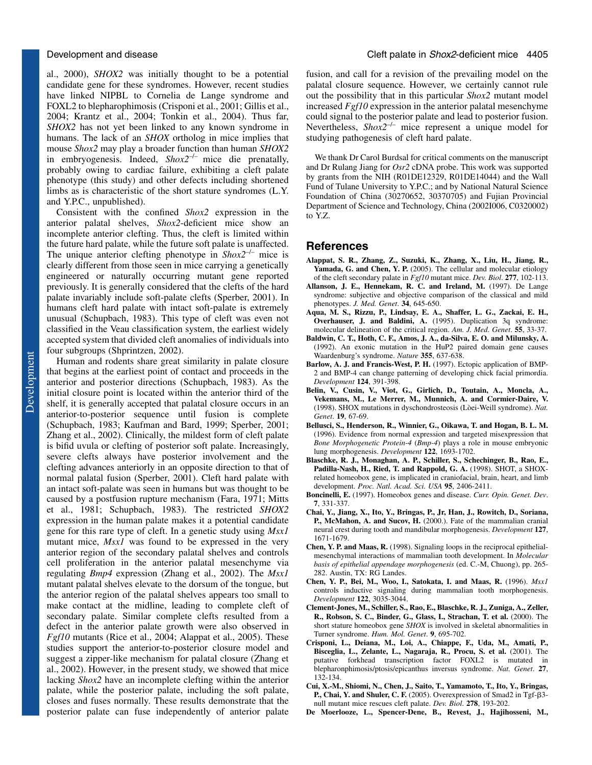al., 2000), *SHOX2* was initially thought to be a potential candidate gene for these syndromes. However, recent studies have linked NIPBL to Cornelia de Lange syndrome and FOXL2 to blepharophimosis (Crisponi et al., 2001; Gillis et al., 2004; Krantz et al., 2004; Tonkin et al., 2004). Thus far, *SHOX2* has not yet been linked to any known syndrome in humans. The lack of an *SHOX* ortholog in mice implies that mouse *Shox2* may play a broader function than human *SHOX2* in embryogenesis. Indeed, *Shox2*–/– mice die prenatally, probably owing to cardiac failure, exhibiting a cleft palate phenotype (this study) and other defects including shortened limbs as is characteristic of the short stature syndromes (L.Y. and Y.P.C., unpublished).

Consistent with the confined *Shox2* expression in the anterior palatal shelves, *Shox2*-deficient mice show an incomplete anterior clefting. Thus, the cleft is limited within the future hard palate, while the future soft palate is unaffected. The unique anterior clefting phenotype in  $\textit{Shox2}^{-/-}$  mice is clearly different from those seen in mice carrying a genetically engineered or naturally occurring mutant gene reported previously. It is generally considered that the clefts of the hard palate invariably include soft-palate clefts (Sperber, 2001). In humans cleft hard palate with intact soft-palate is extremely unusual (Schupbach, 1983). This type of cleft was even not classified in the Veau classification system, the earliest widely accepted system that divided cleft anomalies of individuals into four subgroups (Shprintzen, 2002).

Human and rodents share great similarity in palate closure that begins at the earliest point of contact and proceeds in the anterior and posterior directions (Schupbach, 1983). As the initial closure point is located within the anterior third of the shelf, it is generally accepted that palatal closure occurs in an anterior-to-posterior sequence until fusion is complete (Schupbach, 1983; Kaufman and Bard, 1999; Sperber, 2001; Zhang et al., 2002). Clinically, the mildest form of cleft palate is bifid uvula or clefting of posterior soft palate. Increasingly, severe clefts always have posterior involvement and the clefting advances anteriorly in an opposite direction to that of normal palatal fusion (Sperber, 2001). Cleft hard palate with an intact soft-palate was seen in humans but was thought to be caused by a postfusion rupture mechanism (Fara, 1971; Mitts et al., 1981; Schupbach, 1983). The restricted *SHOX2* expression in the human palate makes it a potential candidate gene for this rare type of cleft. In a genetic study using *Msx1* mutant mice, *Msx1* was found to be expressed in the very anterior region of the secondary palatal shelves and controls cell proliferation in the anterior palatal mesenchyme via regulating *Bmp4* expression (Zhang et al., 2002). The *Msx1* mutant palatal shelves elevate to the dorsum of the tongue, but the anterior region of the palatal shelves appears too small to make contact at the midline, leading to complete cleft of secondary palate. Similar complete clefts resulted from a defect in the anterior palate growth were also observed in *Fgf10* mutants (Rice et al., 2004; Alappat et al., 2005). These studies support the anterior-to-posterior closure model and suggest a zipper-like mechanism for palatal closure (Zhang et al., 2002). However, in the present study, we showed that mice lacking *Shox2* have an incomplete clefting within the anterior palate, while the posterior palate, including the soft palate, closes and fuses normally. These results demonstrate that the posterior palate can fuse independently of anterior palate

fusion, and call for a revision of the prevailing model on the palatal closure sequence. However, we certainly cannot rule out the possibility that in this particular *Shox2* mutant model increased *Fgf10* expression in the anterior palatal mesenchyme could signal to the posterior palate and lead to posterior fusion. Nevertheless, *Shox2*–/– mice represent a unique model for studying pathogenesis of cleft hard palate.

We thank Dr Carol Burdsal for critical comments on the manuscript and Dr Rulang Jiang for *Osr2* cDNA probe. This work was supported by grants from the NIH (R01DE12329, R01DE14044) and the Wall Fund of Tulane University to Y.P.C.; and by National Natural Science Foundation of China (30270652, 30370705) and Fujian Provincial Department of Science and Technology, China (2002I006, C0320002) to YZ.

### **References**

- **Alappat, S. R., Zhang, Z., Suzuki, K., Zhang, X., Liu, H., Jiang, R., Yamada, G. and Chen, Y. P.** (2005). The cellular and molecular etiology of the cleft secondary palate in *Fgf10* mutant mice. *Dev. Biol*. **277**, 102-113.
- **Allanson, J. E., Hennekam, R. C. and Ireland, M.** (1997). De Lange syndrome: subjective and objective comparison of the classical and mild phenotypes. *J. Med. Genet*. **34**, 645-650.
- **Aqua, M. S., Rizzu, P., Lindsay, E. A., Shaffer, L. G., Zackai, E. H., Overhauser, J. and Baldini, A.** (1995). Duplication 3q syndrome: molecular delineation of the critical region. *Am. J. Med. Genet*. **55**, 33-37.
- **Baldwin, C. T., Hoth, C. F., Amos, J. A., da-Silva, E. O. and Milunsky, A.** (1992). An exonic mutation in the HuP2 paired domain gene causes Waardenburg's syndrome. *Nature* **355**, 637-638.
- **Barlow, A. J. and Francis-West, P. H.** (1997). Ectopic application of BMP-2 and BMP-4 can change patterning of developing chick facial primordia. *Development* **124**, 391-398.
- **Belin, V., Cusin, V., Viot, G., Girlich, D., Toutain, A., Moncla, A., Vekemans, M., Le Merrer, M., Munnich, A. and Cormier-Daire, V.** (1998). SHOX mutations in dyschondrosteosis (Lòei-Weill syndrome). *Nat. Genet*. **19**, 67-69.
- **Bellusci, S., Henderson, R., Winnier, G., Oikawa, T. and Hogan, B. L. M.** (1996). Evidence from normal expression and targeted misexpression that *Bone Morphogenetic Protein-4* (*Bmp-4*) plays a role in mouse embryonic lung morphogenesis. *Development* **122**, 1693-1702.
- **Blaschke, R. J., Monaghan, A. P., Schiller, S., Schechinger, B., Rao, E., Padilla-Nash, H., Ried, T. and Rappold, G. A.** (1998). SHOT, a SHOXrelated homeobox gene, is implicated in craniofacial, brain, heart, and limb development. *Proc. Natl. Acad. Sci. USA* **95**, 2406-2411.
- **Boncinelli, E.** (1997). Homeobox genes and disease. *Curr. Opin. Genet. Dev*. **7**, 331-337.
- **Chai, Y., Jiang, X., Ito, Y., Bringas, P., Jr, Han, J., Rowitch, D., Soriana, P., McMahon, A. and Sucov, H.** (2000.). Fate of the mammalian cranial neural crest during tooth and mandibular morphogenesis. *Development* **127**, 1671-1679.
- **Chen, Y. P. and Maas, R.** (1998). Signaling loops in the reciprocal epithelialmesenchymal interactions of mammalian tooth development. In *Molecular basis of epithelial appendage morphogenesis* (ed. C.-M, Chuong), pp. 265- 282. Austin, TX: RG Landes.
- **Chen, Y. P., Bei, M., Woo, I., Satokata, I. and Maas, R.** (1996). *Msx1* controls inductive signaling during mammalian tooth morphogenesis. *Development* **122**, 3035-3044.
- **Clement-Jones, M., Schiller, S., Rao, E., Blaschke, R. J., Zuniga, A., Zeller, R., Robson, S. C., Binder, G., Glass, I., Strachan, T. et al.** (2000). The short stature homeobox gene *SHOX* is involved in skeletal abnormalities in Turner syndrome. *Hum. Mol. Genet*. **9**, 695-702.
- **Crisponi, L., Deiana, M., Loi, A., Chiappe, F., Uda, M., Amati, P., Bisceglia, L., Zelante, L., Nagaraja, R., Procu, S. et al.** (2001). The putative forkhead transcription factor FOXL2 is mutated in blepharonphimosis/ptosis/epicanthus inversus syndrome. *Nat. Genet*. **27**, 132-134.
- **Cui, X.-M., Shiomi, N., Chen, J., Saito, T., Yamamoto, T., Ito, Y., Bringas,** P., Chai, Y. and Shuler, C. F. (2005). Overexpression of Smad2 in Tgf- $\beta$ 3null mutant mice rescues cleft palate. *Dev. Biol*. **278**, 193-202.
- **De Moerlooze, L., Spencer-Dene, B., Revest, J., Hajihosseni, M.,**